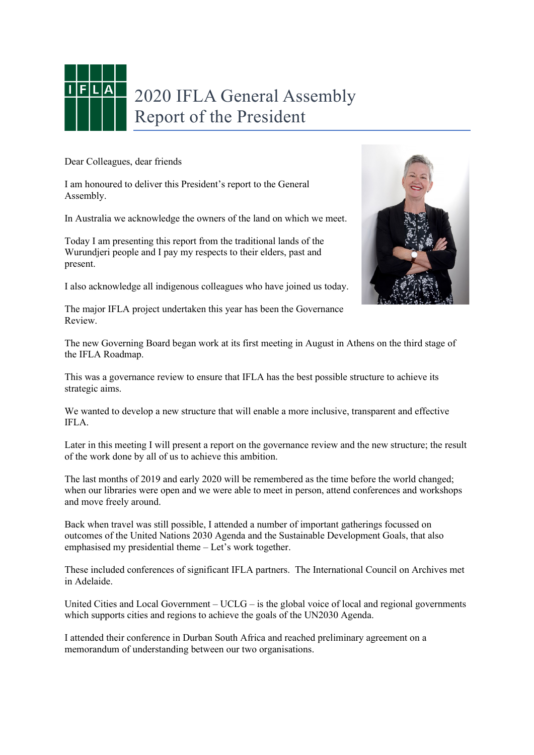

## 2020 IFLA General Assembly Report of the President

Dear Colleagues, dear friends

I am honoured to deliver this President's report to the General Assembly.

In Australia we acknowledge the owners of the land on which we meet.

Today I am presenting this report from the traditional lands of the Wurundjeri people and I pay my respects to their elders, past and present.

I also acknowledge all indigenous colleagues who have joined us today.

The major IFLA project undertaken this year has been the Governance Review.

The new Governing Board began work at its first meeting in August in Athens on the third stage of the IFLA Roadmap.

This was a governance review to ensure that IFLA has the best possible structure to achieve its strategic aims.

We wanted to develop a new structure that will enable a more inclusive, transparent and effective IFLA.

Later in this meeting I will present a report on the governance review and the new structure; the result of the work done by all of us to achieve this ambition.

The last months of 2019 and early 2020 will be remembered as the time before the world changed; when our libraries were open and we were able to meet in person, attend conferences and workshops and move freely around.

Back when travel was still possible, I attended a number of important gatherings focussed on outcomes of the United Nations 2030 Agenda and the Sustainable Development Goals, that also emphasised my presidential theme – Let's work together.

These included conferences of significant IFLA partners. The International Council on Archives met in Adelaide.

United Cities and Local Government –  $UCLG -$  is the global voice of local and regional governments which supports cities and regions to achieve the goals of the UN2030 Agenda.

I attended their conference in Durban South Africa and reached preliminary agreement on a memorandum of understanding between our two organisations.